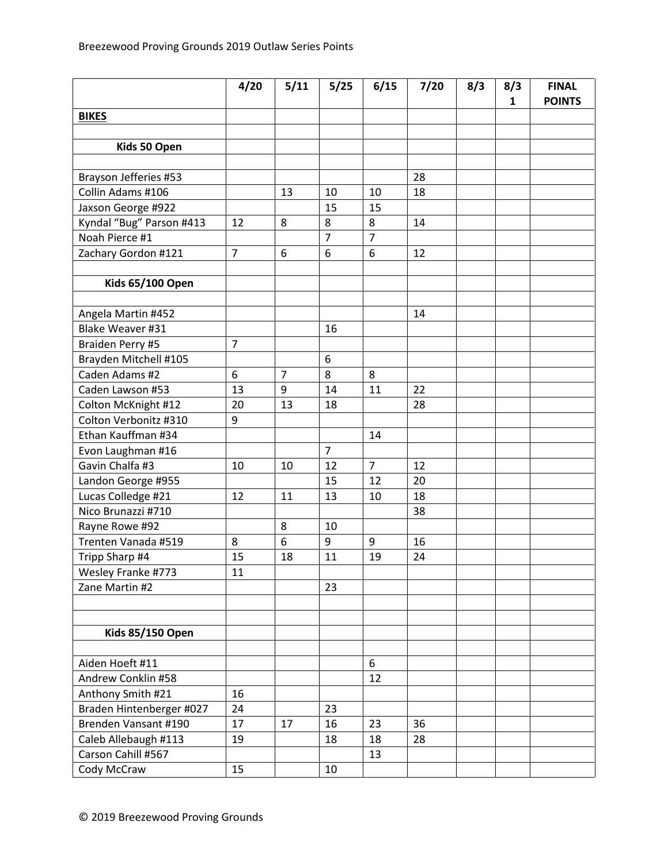|                          | 4/20           | 5/11           | 5/25           | 6/15           | 7/20 | 8/3 | 8/3 | <b>FINAL</b>  |
|--------------------------|----------------|----------------|----------------|----------------|------|-----|-----|---------------|
|                          |                |                |                |                |      |     | 1   | <b>POINTS</b> |
| <b>BIKES</b>             |                |                |                |                |      |     |     |               |
|                          |                |                |                |                |      |     |     |               |
| Kids 50 Open             |                |                |                |                |      |     |     |               |
| Brayson Jefferies #53    |                |                |                |                | 28   |     |     |               |
| Collin Adams #106        |                | 13             | 10             | 10             | 18   |     |     |               |
| Jaxson George #922       |                |                | 15             | 15             |      |     |     |               |
| Kyndal "Bug" Parson #413 | 12             | 8              | 8              | 8              | 14   |     |     |               |
| Noah Pierce #1           |                |                | $\overline{7}$ | $\overline{7}$ |      |     |     |               |
| Zachary Gordon #121      | $\overline{7}$ | 6              | 6              | 6              | 12   |     |     |               |
|                          |                |                |                |                |      |     |     |               |
| <b>Kids 65/100 Open</b>  |                |                |                |                |      |     |     |               |
|                          |                |                |                |                |      |     |     |               |
| Angela Martin #452       |                |                |                |                | 14   |     |     |               |
| Blake Weaver #31         |                |                | 16             |                |      |     |     |               |
| Braiden Perry #5         | $\overline{7}$ |                |                |                |      |     |     |               |
| Brayden Mitchell #105    |                |                | 6              |                |      |     |     |               |
| Caden Adams #2           | 6              | $\overline{7}$ | 8              | 8              |      |     |     |               |
| Caden Lawson #53         | 13             | 9              | 14             | 11             | 22   |     |     |               |
| Colton McKnight #12      | 20             | 13             | 18             |                | 28   |     |     |               |
| Colton Verbonitz #310    | 9              |                |                |                |      |     |     |               |
| Ethan Kauffman #34       |                |                |                | 14             |      |     |     |               |
| Evon Laughman #16        |                |                | $\overline{7}$ |                |      |     |     |               |
| Gavin Chalfa #3          | 10             | 10             | 12             | $\overline{7}$ | 12   |     |     |               |
| Landon George #955       |                |                | 15             | 12             | 20   |     |     |               |
| Lucas Colledge #21       | 12             | 11             | 13             | 10             | 18   |     |     |               |
| Nico Brunazzi #710       |                |                |                |                | 38   |     |     |               |
| Rayne Rowe #92           |                | 8              | 10             |                |      |     |     |               |
| Trenten Vanada #519      | 8              | 6              | 9              | 9              | 16   |     |     |               |
| Tripp Sharp #4           | 15             | 18             | 11             | 19             | 24   |     |     |               |
| Wesley Franke #773       | 11             |                |                |                |      |     |     |               |
| Zane Martin #2           |                |                | 23             |                |      |     |     |               |
|                          |                |                |                |                |      |     |     |               |
|                          |                |                |                |                |      |     |     |               |
| <b>Kids 85/150 Open</b>  |                |                |                |                |      |     |     |               |
|                          |                |                |                |                |      |     |     |               |
| Aiden Hoeft #11          |                |                |                | 6              |      |     |     |               |
| Andrew Conklin #58       |                |                |                | 12             |      |     |     |               |
| Anthony Smith #21        | 16             |                |                |                |      |     |     |               |
| Braden Hintenberger #027 | 24             |                | 23             |                |      |     |     |               |
| Brenden Vansant #190     | 17             | 17             | 16             | 23             | 36   |     |     |               |
| Caleb Allebaugh #113     | 19             |                | 18             | 18             | 28   |     |     |               |
| Carson Cahill #567       |                |                |                | 13             |      |     |     |               |
| Cody McCraw              | 15             |                | 10             |                |      |     |     |               |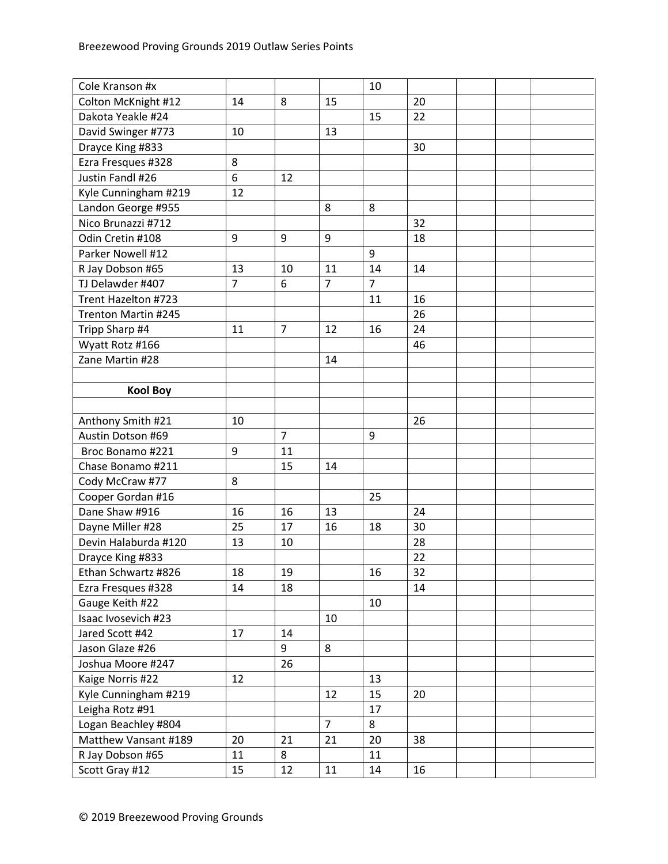| Cole Kranson #x      |                |                |                | 10             |    |  |  |
|----------------------|----------------|----------------|----------------|----------------|----|--|--|
| Colton McKnight #12  | 14             | 8              | 15             |                | 20 |  |  |
| Dakota Yeakle #24    |                |                |                | 15             | 22 |  |  |
| David Swinger #773   | 10             |                | 13             |                |    |  |  |
| Drayce King #833     |                |                |                |                | 30 |  |  |
| Ezra Fresques #328   | 8              |                |                |                |    |  |  |
| Justin Fandl #26     | 6              | 12             |                |                |    |  |  |
| Kyle Cunningham #219 | 12             |                |                |                |    |  |  |
| Landon George #955   |                |                | 8              | 8              |    |  |  |
| Nico Brunazzi #712   |                |                |                |                | 32 |  |  |
| Odin Cretin #108     | 9              | 9              | 9              |                | 18 |  |  |
| Parker Nowell #12    |                |                |                | 9              |    |  |  |
| R Jay Dobson #65     | 13             | 10             | 11             | 14             | 14 |  |  |
| TJ Delawder #407     | $\overline{7}$ | 6              | $\overline{7}$ | $\overline{7}$ |    |  |  |
| Trent Hazelton #723  |                |                |                | 11             | 16 |  |  |
| Trenton Martin #245  |                |                |                |                | 26 |  |  |
| Tripp Sharp #4       | 11             | $\overline{7}$ | 12             | 16             | 24 |  |  |
| Wyatt Rotz #166      |                |                |                |                | 46 |  |  |
| Zane Martin #28      |                |                | 14             |                |    |  |  |
|                      |                |                |                |                |    |  |  |
| <b>Kool Boy</b>      |                |                |                |                |    |  |  |
|                      |                |                |                |                |    |  |  |
| Anthony Smith #21    | 10             |                |                |                | 26 |  |  |
| Austin Dotson #69    |                | $\overline{7}$ |                | 9              |    |  |  |
| Broc Bonamo #221     | 9              | 11             |                |                |    |  |  |
| Chase Bonamo #211    |                | 15             | 14             |                |    |  |  |
| Cody McCraw #77      | 8              |                |                |                |    |  |  |
| Cooper Gordan #16    |                |                |                | 25             |    |  |  |
| Dane Shaw #916       | 16             | 16             | 13             |                | 24 |  |  |
| Dayne Miller #28     | 25             | 17             | 16             | 18             | 30 |  |  |
| Devin Halaburda #120 | 13             | 10             |                |                | 28 |  |  |
| Drayce King #833     |                |                |                |                | 22 |  |  |
| Ethan Schwartz #826  | 18             | 19             |                | 16             | 32 |  |  |
| Ezra Fresques #328   | 14             | 18             |                |                | 14 |  |  |
| Gauge Keith #22      |                |                |                | 10             |    |  |  |
| Isaac Ivosevich #23  |                |                | 10             |                |    |  |  |
| Jared Scott #42      | 17             | 14             |                |                |    |  |  |
| Jason Glaze #26      |                | 9              | 8              |                |    |  |  |
| Joshua Moore #247    |                | 26             |                |                |    |  |  |
| Kaige Norris #22     | 12             |                |                | 13             |    |  |  |
| Kyle Cunningham #219 |                |                | 12             | 15             | 20 |  |  |
| Leigha Rotz #91      |                |                |                | 17             |    |  |  |
| Logan Beachley #804  |                |                | $\overline{7}$ | 8              |    |  |  |
| Matthew Vansant #189 | 20             | 21             | 21             | 20             | 38 |  |  |
| R Jay Dobson #65     | 11             | 8              |                | 11             |    |  |  |
| Scott Gray #12       | 15             | 12             | 11             | 14             | 16 |  |  |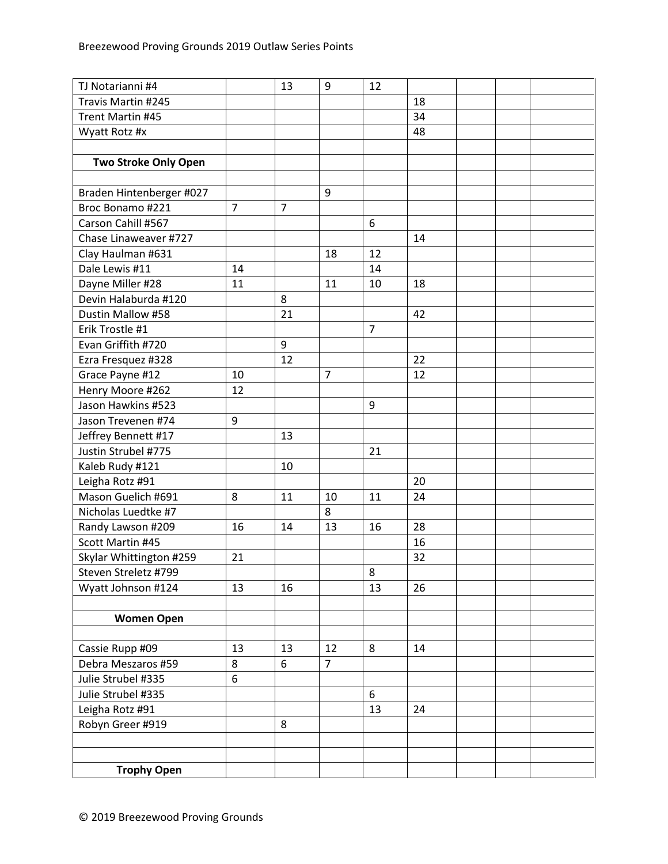| TJ Notarianni #4            |                | 13             | 9              | 12             |    |  |  |
|-----------------------------|----------------|----------------|----------------|----------------|----|--|--|
| Travis Martin #245          |                |                |                |                | 18 |  |  |
| Trent Martin #45            |                |                |                |                | 34 |  |  |
| Wyatt Rotz #x               |                |                |                |                | 48 |  |  |
|                             |                |                |                |                |    |  |  |
| <b>Two Stroke Only Open</b> |                |                |                |                |    |  |  |
|                             |                |                |                |                |    |  |  |
| Braden Hintenberger #027    |                |                | 9              |                |    |  |  |
| Broc Bonamo #221            | $\overline{7}$ | $\overline{7}$ |                |                |    |  |  |
| Carson Cahill #567          |                |                |                | 6              |    |  |  |
| Chase Linaweaver #727       |                |                |                |                | 14 |  |  |
| Clay Haulman #631           |                |                | 18             | 12             |    |  |  |
| Dale Lewis #11              | 14             |                |                | 14             |    |  |  |
| Dayne Miller #28            | 11             |                | 11             | 10             | 18 |  |  |
| Devin Halaburda #120        |                | 8              |                |                |    |  |  |
| Dustin Mallow #58           |                | 21             |                |                | 42 |  |  |
| Erik Trostle #1             |                |                |                | $\overline{7}$ |    |  |  |
| Evan Griffith #720          |                | 9              |                |                |    |  |  |
| Ezra Fresquez #328          |                | 12             |                |                | 22 |  |  |
| Grace Payne #12             | 10             |                | $\overline{7}$ |                | 12 |  |  |
| Henry Moore #262            | 12             |                |                |                |    |  |  |
| Jason Hawkins #523          |                |                |                | 9              |    |  |  |
| Jason Trevenen #74          | 9              |                |                |                |    |  |  |
| Jeffrey Bennett #17         |                | 13             |                |                |    |  |  |
| Justin Strubel #775         |                |                |                | 21             |    |  |  |
| Kaleb Rudy #121             |                | 10             |                |                |    |  |  |
| Leigha Rotz #91             |                |                |                |                | 20 |  |  |
| Mason Guelich #691          | 8              | 11             | 10             | 11             | 24 |  |  |
| Nicholas Luedtke #7         |                |                | 8              |                |    |  |  |
| Randy Lawson #209           | 16             | 14             | 13             | 16             | 28 |  |  |
| Scott Martin #45            |                |                |                |                | 16 |  |  |
| Skylar Whittington #259     | 21             |                |                |                | 32 |  |  |
| Steven Streletz #799        |                |                |                | 8              |    |  |  |
| Wyatt Johnson #124          | 13             | 16             |                | 13             | 26 |  |  |
|                             |                |                |                |                |    |  |  |
| <b>Women Open</b>           |                |                |                |                |    |  |  |
|                             |                |                |                |                |    |  |  |
| Cassie Rupp #09             | 13             | 13             | 12             | 8              | 14 |  |  |
| Debra Meszaros #59          | 8              | 6              | $\overline{7}$ |                |    |  |  |
| Julie Strubel #335          | 6              |                |                |                |    |  |  |
| Julie Strubel #335          |                |                |                | 6              |    |  |  |
| Leigha Rotz #91             |                |                |                | 13             | 24 |  |  |
| Robyn Greer #919            |                | 8              |                |                |    |  |  |
|                             |                |                |                |                |    |  |  |
|                             |                |                |                |                |    |  |  |
| <b>Trophy Open</b>          |                |                |                |                |    |  |  |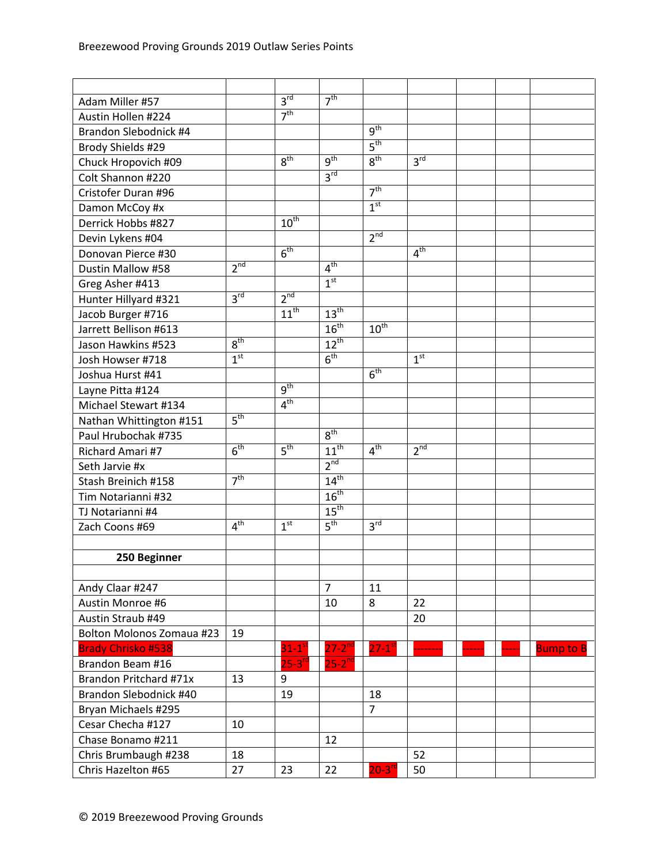| Adam Miller #57           |                 | 3 <sup>rd</sup>      | 7 <sup>th</sup>            |                      |                 |  |                  |
|---------------------------|-----------------|----------------------|----------------------------|----------------------|-----------------|--|------------------|
| Austin Hollen #224        |                 | 7 <sup>th</sup>      |                            |                      |                 |  |                  |
| Brandon Slebodnick #4     |                 |                      |                            | 9 <sup>th</sup>      |                 |  |                  |
| Brody Shields #29         |                 |                      |                            | 5 <sup>th</sup>      |                 |  |                  |
| Chuck Hropovich #09       |                 | 8 <sup>th</sup>      | $q^{th}$                   | 8 <sup>th</sup>      | 3 <sup>rd</sup> |  |                  |
| Colt Shannon #220         |                 |                      | 3 <sup>rd</sup>            |                      |                 |  |                  |
| Cristofer Duran #96       |                 |                      |                            | 7 <sup>th</sup>      |                 |  |                  |
| Damon McCoy #x            |                 |                      |                            | 1 <sup>st</sup>      |                 |  |                  |
| Derrick Hobbs #827        |                 | $10^{\text{th}}$     |                            |                      |                 |  |                  |
| Devin Lykens #04          |                 |                      |                            | 2 <sup>nd</sup>      |                 |  |                  |
| Donovan Pierce #30        |                 | 6 <sup>th</sup>      |                            |                      | 4 <sup>th</sup> |  |                  |
| Dustin Mallow #58         | 2 <sup>nd</sup> |                      | $4^{\overline{\text{th}}}$ |                      |                 |  |                  |
| Greg Asher #413           |                 |                      | 1 <sup>st</sup>            |                      |                 |  |                  |
| Hunter Hillyard #321      | 3 <sup>rd</sup> | 2 <sup>nd</sup>      |                            |                      |                 |  |                  |
| Jacob Burger #716         |                 | $11^{th}$            | $13^{\text{th}}$           |                      |                 |  |                  |
| Jarrett Bellison #613     |                 |                      | $16^{\text{th}}$           | $10^{\text{th}}$     |                 |  |                  |
| Jason Hawkins #523        | 8 <sup>th</sup> |                      | $12^{th}$                  |                      |                 |  |                  |
| Josh Howser #718          | 1 <sup>st</sup> |                      | 6 <sup>th</sup>            |                      | 1 <sup>st</sup> |  |                  |
| Joshua Hurst #41          |                 |                      |                            | 6 <sup>th</sup>      |                 |  |                  |
| Layne Pitta #124          |                 | g <sup>th</sup>      |                            |                      |                 |  |                  |
| Michael Stewart #134      |                 | 4 <sup>th</sup>      |                            |                      |                 |  |                  |
| Nathan Whittington #151   | 5 <sup>th</sup> |                      |                            |                      |                 |  |                  |
| Paul Hrubochak #735       |                 |                      | 8 <sup>th</sup>            |                      |                 |  |                  |
| Richard Amari #7          | 6 <sup>th</sup> | 5 <sup>th</sup>      | $11^{th}$                  | 4 <sup>th</sup>      | 2 <sup>nd</sup> |  |                  |
| Seth Jarvie #x            |                 |                      | 2 <sup>nd</sup>            |                      |                 |  |                  |
| Stash Breinich #158       | 7 <sup>th</sup> |                      | $14^{th}$                  |                      |                 |  |                  |
| Tim Notarianni #32        |                 |                      | 16 <sup>th</sup>           |                      |                 |  |                  |
| TJ Notarianni #4          |                 |                      | $15^{\text{th}}$           |                      |                 |  |                  |
| Zach Coons #69            | 4 <sup>th</sup> | 1 <sup>st</sup>      | 5 <sup>th</sup>            | 3 <sup>rd</sup>      |                 |  |                  |
|                           |                 |                      |                            |                      |                 |  |                  |
| 250 Beginner              |                 |                      |                            |                      |                 |  |                  |
|                           |                 |                      |                            |                      |                 |  |                  |
| Andy Claar #247           |                 |                      | $\overline{7}$             | 11                   |                 |  |                  |
| Austin Monroe #6          |                 |                      | 10                         | 8                    | 22              |  |                  |
| Austin Straub #49         |                 |                      |                            |                      | 20              |  |                  |
| Bolton Molonos Zomaua #23 | 19              |                      |                            |                      |                 |  |                  |
| <b>Brady Chrisko #538</b> |                 | $31-1$ <sup>st</sup> | $27 - 2^{nd}$              | $27-1$ <sup>st</sup> |                 |  | <b>Bump to B</b> |
| Brandon Beam #16          |                 | $25 - 3^{rd}$        | $25 - 2^{nd}$              |                      |                 |  |                  |
| Brandon Pritchard #71x    | 13              | 9                    |                            |                      |                 |  |                  |
| Brandon Slebodnick #40    |                 | 19                   |                            | 18                   |                 |  |                  |
| Bryan Michaels #295       |                 |                      |                            | $\overline{7}$       |                 |  |                  |
| Cesar Checha #127         | 10              |                      |                            |                      |                 |  |                  |
| Chase Bonamo #211         |                 |                      | 12                         |                      |                 |  |                  |
| Chris Brumbaugh #238      | 18              |                      |                            |                      | 52              |  |                  |
| Chris Hazelton #65        | 27              | 23                   | 22                         | $20-3$ <sup>rd</sup> | 50              |  |                  |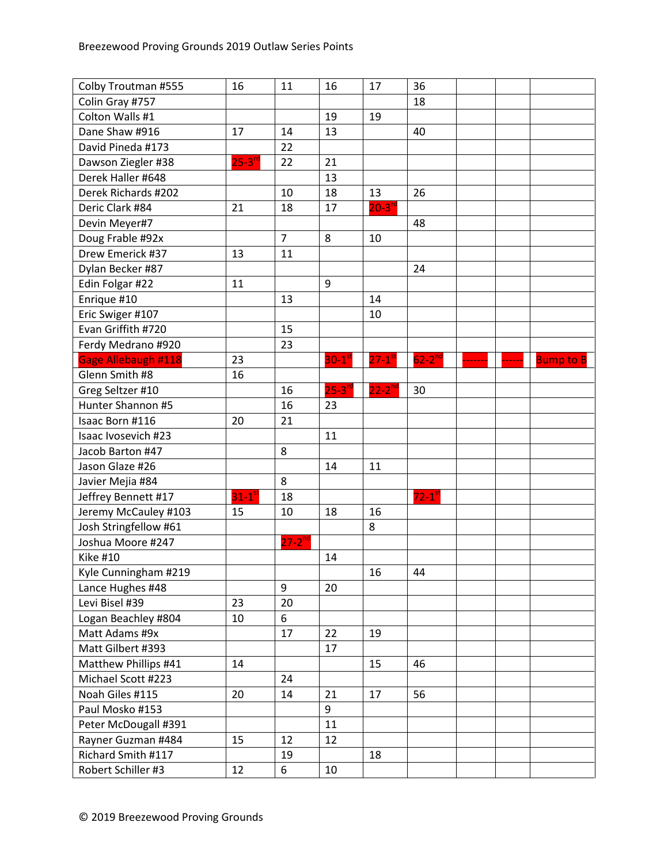| Colin Gray #757<br>18<br>Colton Walls #1<br>19<br>19<br>Dane Shaw #916<br>17<br>14<br>13<br>40<br>David Pineda #173<br>22<br>$25 - 3^{rd}$<br>21<br>22<br>Dawson Ziegler #38<br>Derek Haller #648<br>13<br>Derek Richards #202<br>10<br>18<br>13<br>26<br>$20-3$ <sup>rd</sup><br>17<br>Deric Clark #84<br>21<br>18<br>Devin Meyer#7<br>48<br>$\overline{7}$<br>Doug Frable #92x<br>8<br>10<br>Drew Emerick #37<br>13<br>11<br>Dylan Becker #87<br>24<br>Edin Folgar #22<br>11<br>9<br>Enrique #10<br>13<br>14<br>Eric Swiger #107<br>10<br>Evan Griffith #720<br>15<br>Ferdy Medrano #920<br>23<br>Gage Allebaugh #118<br>$62 - 2nd$<br>23<br>$30-1$ <sup>st</sup><br>$27-1$ <sup>st</sup><br><b>Bump to B</b><br>Glenn Smith #8<br>16<br>$22 - 2^{nd}$<br>$25-3$ <sup>rc</sup><br>Greg Seltzer #10<br>16<br>30<br>Hunter Shannon #5<br>16<br>23<br>20<br>21<br>Isaac Born #116<br>11<br>Isaac Ivosevich #23<br>Jacob Barton #47<br>8 |
|----------------------------------------------------------------------------------------------------------------------------------------------------------------------------------------------------------------------------------------------------------------------------------------------------------------------------------------------------------------------------------------------------------------------------------------------------------------------------------------------------------------------------------------------------------------------------------------------------------------------------------------------------------------------------------------------------------------------------------------------------------------------------------------------------------------------------------------------------------------------------------------------------------------------------------------|
|                                                                                                                                                                                                                                                                                                                                                                                                                                                                                                                                                                                                                                                                                                                                                                                                                                                                                                                                        |
|                                                                                                                                                                                                                                                                                                                                                                                                                                                                                                                                                                                                                                                                                                                                                                                                                                                                                                                                        |
|                                                                                                                                                                                                                                                                                                                                                                                                                                                                                                                                                                                                                                                                                                                                                                                                                                                                                                                                        |
|                                                                                                                                                                                                                                                                                                                                                                                                                                                                                                                                                                                                                                                                                                                                                                                                                                                                                                                                        |
|                                                                                                                                                                                                                                                                                                                                                                                                                                                                                                                                                                                                                                                                                                                                                                                                                                                                                                                                        |
|                                                                                                                                                                                                                                                                                                                                                                                                                                                                                                                                                                                                                                                                                                                                                                                                                                                                                                                                        |
|                                                                                                                                                                                                                                                                                                                                                                                                                                                                                                                                                                                                                                                                                                                                                                                                                                                                                                                                        |
|                                                                                                                                                                                                                                                                                                                                                                                                                                                                                                                                                                                                                                                                                                                                                                                                                                                                                                                                        |
|                                                                                                                                                                                                                                                                                                                                                                                                                                                                                                                                                                                                                                                                                                                                                                                                                                                                                                                                        |
|                                                                                                                                                                                                                                                                                                                                                                                                                                                                                                                                                                                                                                                                                                                                                                                                                                                                                                                                        |
|                                                                                                                                                                                                                                                                                                                                                                                                                                                                                                                                                                                                                                                                                                                                                                                                                                                                                                                                        |
|                                                                                                                                                                                                                                                                                                                                                                                                                                                                                                                                                                                                                                                                                                                                                                                                                                                                                                                                        |
|                                                                                                                                                                                                                                                                                                                                                                                                                                                                                                                                                                                                                                                                                                                                                                                                                                                                                                                                        |
|                                                                                                                                                                                                                                                                                                                                                                                                                                                                                                                                                                                                                                                                                                                                                                                                                                                                                                                                        |
|                                                                                                                                                                                                                                                                                                                                                                                                                                                                                                                                                                                                                                                                                                                                                                                                                                                                                                                                        |
|                                                                                                                                                                                                                                                                                                                                                                                                                                                                                                                                                                                                                                                                                                                                                                                                                                                                                                                                        |
|                                                                                                                                                                                                                                                                                                                                                                                                                                                                                                                                                                                                                                                                                                                                                                                                                                                                                                                                        |
|                                                                                                                                                                                                                                                                                                                                                                                                                                                                                                                                                                                                                                                                                                                                                                                                                                                                                                                                        |
|                                                                                                                                                                                                                                                                                                                                                                                                                                                                                                                                                                                                                                                                                                                                                                                                                                                                                                                                        |
|                                                                                                                                                                                                                                                                                                                                                                                                                                                                                                                                                                                                                                                                                                                                                                                                                                                                                                                                        |
|                                                                                                                                                                                                                                                                                                                                                                                                                                                                                                                                                                                                                                                                                                                                                                                                                                                                                                                                        |
|                                                                                                                                                                                                                                                                                                                                                                                                                                                                                                                                                                                                                                                                                                                                                                                                                                                                                                                                        |
|                                                                                                                                                                                                                                                                                                                                                                                                                                                                                                                                                                                                                                                                                                                                                                                                                                                                                                                                        |
|                                                                                                                                                                                                                                                                                                                                                                                                                                                                                                                                                                                                                                                                                                                                                                                                                                                                                                                                        |
| Jason Glaze #26<br>14<br>11                                                                                                                                                                                                                                                                                                                                                                                                                                                                                                                                                                                                                                                                                                                                                                                                                                                                                                            |
| Javier Mejia #84<br>8                                                                                                                                                                                                                                                                                                                                                                                                                                                                                                                                                                                                                                                                                                                                                                                                                                                                                                                  |
| $31-1$ <sup>st</sup><br>$72 - 1$ <sup>st</sup><br>Jeffrey Bennett #17<br>18                                                                                                                                                                                                                                                                                                                                                                                                                                                                                                                                                                                                                                                                                                                                                                                                                                                            |
| Jeremy McCauley #103<br>10<br>16<br>15<br>18                                                                                                                                                                                                                                                                                                                                                                                                                                                                                                                                                                                                                                                                                                                                                                                                                                                                                           |
| Josh Stringfellow #61<br>8                                                                                                                                                                                                                                                                                                                                                                                                                                                                                                                                                                                                                                                                                                                                                                                                                                                                                                             |
| $27 - 2^{nd}$<br>Joshua Moore #247                                                                                                                                                                                                                                                                                                                                                                                                                                                                                                                                                                                                                                                                                                                                                                                                                                                                                                     |
| <b>Kike #10</b><br>14                                                                                                                                                                                                                                                                                                                                                                                                                                                                                                                                                                                                                                                                                                                                                                                                                                                                                                                  |
| Kyle Cunningham #219<br>16<br>44                                                                                                                                                                                                                                                                                                                                                                                                                                                                                                                                                                                                                                                                                                                                                                                                                                                                                                       |
| Lance Hughes #48<br>9<br>20                                                                                                                                                                                                                                                                                                                                                                                                                                                                                                                                                                                                                                                                                                                                                                                                                                                                                                            |
| Levi Bisel #39<br>23<br>20                                                                                                                                                                                                                                                                                                                                                                                                                                                                                                                                                                                                                                                                                                                                                                                                                                                                                                             |
| Logan Beachley #804<br>10<br>6                                                                                                                                                                                                                                                                                                                                                                                                                                                                                                                                                                                                                                                                                                                                                                                                                                                                                                         |
| Matt Adams #9x<br>17<br>22<br>19                                                                                                                                                                                                                                                                                                                                                                                                                                                                                                                                                                                                                                                                                                                                                                                                                                                                                                       |
| Matt Gilbert #393<br>17                                                                                                                                                                                                                                                                                                                                                                                                                                                                                                                                                                                                                                                                                                                                                                                                                                                                                                                |
| Matthew Phillips #41<br>14<br>46<br>15                                                                                                                                                                                                                                                                                                                                                                                                                                                                                                                                                                                                                                                                                                                                                                                                                                                                                                 |
| Michael Scott #223<br>24                                                                                                                                                                                                                                                                                                                                                                                                                                                                                                                                                                                                                                                                                                                                                                                                                                                                                                               |
| Noah Giles #115<br>56<br>20<br>21<br>17<br>14                                                                                                                                                                                                                                                                                                                                                                                                                                                                                                                                                                                                                                                                                                                                                                                                                                                                                          |
| Paul Mosko #153<br>9                                                                                                                                                                                                                                                                                                                                                                                                                                                                                                                                                                                                                                                                                                                                                                                                                                                                                                                   |
| Peter McDougall #391<br>11                                                                                                                                                                                                                                                                                                                                                                                                                                                                                                                                                                                                                                                                                                                                                                                                                                                                                                             |
| Rayner Guzman #484<br>15<br>12<br>12                                                                                                                                                                                                                                                                                                                                                                                                                                                                                                                                                                                                                                                                                                                                                                                                                                                                                                   |
| Richard Smith #117<br>19<br>18                                                                                                                                                                                                                                                                                                                                                                                                                                                                                                                                                                                                                                                                                                                                                                                                                                                                                                         |
| Robert Schiller #3<br>12<br>6<br>10                                                                                                                                                                                                                                                                                                                                                                                                                                                                                                                                                                                                                                                                                                                                                                                                                                                                                                    |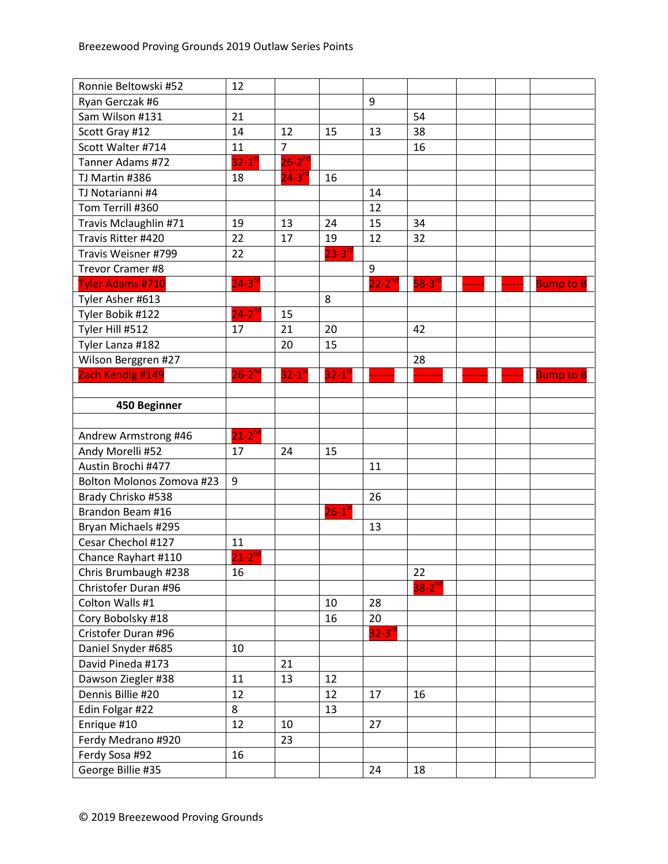| Ronnie Beltowski #52      | 12                   |                       |                      |                      |                      |  |                  |
|---------------------------|----------------------|-----------------------|----------------------|----------------------|----------------------|--|------------------|
| Ryan Gerczak #6           |                      |                       |                      | 9                    |                      |  |                  |
| Sam Wilson #131           | 21                   |                       |                      |                      | 54                   |  |                  |
| Scott Gray #12            | 14                   | 12                    | 15                   | 13                   | 38                   |  |                  |
| Scott Walter #714         | 11                   | $\overline{7}$        |                      |                      | 16                   |  |                  |
| Tanner Adams #72          | $32-1$ <sup>st</sup> | $26 - 2^{nd}$         |                      |                      |                      |  |                  |
| TJ Martin #386            | 18                   | $24 - 3$ <sup>n</sup> | 16                   |                      |                      |  |                  |
| TJ Notarianni #4          |                      |                       |                      | 14                   |                      |  |                  |
| Tom Terrill #360          |                      |                       |                      | 12                   |                      |  |                  |
| Travis Mclaughlin #71     | 19                   | 13                    | 24                   | 15                   | 34                   |  |                  |
| Travis Ritter #420        | 22                   | 17                    | 19                   | 12                   | 32                   |  |                  |
| Travis Weisner #799       | 22                   |                       | $23 - 3^{10}$        |                      |                      |  |                  |
| Trevor Cramer #8          |                      |                       |                      | 9                    |                      |  |                  |
| <b>Tyler Adams #710</b>   | $24 - 3^{r}$         |                       |                      | $22 - 2^{nd}$        | $58-3$ <sup>rd</sup> |  | <b>Bump to B</b> |
| Tyler Asher #613          |                      |                       | 8                    |                      |                      |  |                  |
| Tyler Bobik #122          | $24 - 2^{nc}$        | 15                    |                      |                      |                      |  |                  |
| Tyler Hill #512           | 17                   | 21                    | 20                   |                      | 42                   |  |                  |
| Tyler Lanza #182          |                      | 20                    | 15                   |                      |                      |  |                  |
| Wilson Berggren #27       |                      |                       |                      |                      | 28                   |  |                  |
| Zach Kendig #149          | $26-2^{nd}$          | $32-1$ <sup>st</sup>  | $32-1$ <sup>st</sup> |                      |                      |  | <b>Bump to B</b> |
|                           |                      |                       |                      |                      |                      |  |                  |
| 450 Beginner              |                      |                       |                      |                      |                      |  |                  |
|                           |                      |                       |                      |                      |                      |  |                  |
| Andrew Armstrong #46      | $21 - 2^{nd}$        |                       |                      |                      |                      |  |                  |
| Andy Morelli #52          | 17                   | 24                    | 15                   |                      |                      |  |                  |
| Austin Brochi #477        |                      |                       |                      | 11                   |                      |  |                  |
| Bolton Molonos Zomova #23 | 9                    |                       |                      |                      |                      |  |                  |
| Brady Chrisko #538        |                      |                       |                      | 26                   |                      |  |                  |
| Brandon Beam #16          |                      |                       | $26-1$ <sup>st</sup> |                      |                      |  |                  |
| Bryan Michaels #295       |                      |                       |                      | 13                   |                      |  |                  |
| Cesar Chechol #127        | 11                   |                       |                      |                      |                      |  |                  |
| Chance Rayhart #110       | $21-2^{nd}$          |                       |                      |                      |                      |  |                  |
| Chris Brumbaugh #238      | 16                   |                       |                      |                      | 22                   |  |                  |
| Christofer Duran #96      |                      |                       |                      |                      | $38-2$ <sup>nd</sup> |  |                  |
| Colton Walls #1           |                      |                       | 10                   | 28                   |                      |  |                  |
| Cory Bobolsky #18         |                      |                       | 16                   | 20                   |                      |  |                  |
| Cristofer Duran #96       |                      |                       |                      | $32-3$ <sup>rd</sup> |                      |  |                  |
| Daniel Snyder #685        | 10                   |                       |                      |                      |                      |  |                  |
| David Pineda #173         |                      | 21                    |                      |                      |                      |  |                  |
| Dawson Ziegler #38        | 11                   | 13                    | 12                   |                      |                      |  |                  |
| Dennis Billie #20         | 12                   |                       | 12                   | 17                   | 16                   |  |                  |
| Edin Folgar #22           | 8                    |                       | 13                   |                      |                      |  |                  |
| Enrique #10               | 12                   | 10                    |                      | 27                   |                      |  |                  |
| Ferdy Medrano #920        |                      | 23                    |                      |                      |                      |  |                  |
| Ferdy Sosa #92            | 16                   |                       |                      |                      |                      |  |                  |
| George Billie #35         |                      |                       |                      | 24                   | 18                   |  |                  |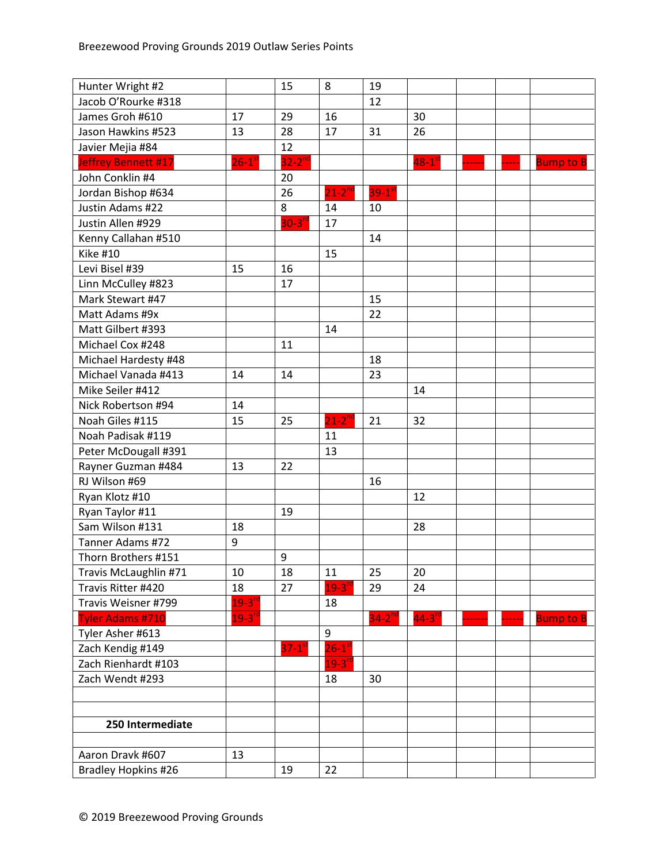| Hunter Wright #2        |                      | 15                   | 8                    | 19          |                      |  |                  |
|-------------------------|----------------------|----------------------|----------------------|-------------|----------------------|--|------------------|
| Jacob O'Rourke #318     |                      |                      |                      | 12          |                      |  |                  |
| James Groh #610         | 17                   | 29                   | 16                   |             | 30                   |  |                  |
| Jason Hawkins #523      | 13                   | 28                   | 17                   | 31          | 26                   |  |                  |
| Javier Mejia #84        |                      | 12                   |                      |             |                      |  |                  |
| Jeffrey Bennett #17     | $26-1$ <sup>st</sup> | $32-2^{nd}$          |                      |             | $48-1$ <sup>st</sup> |  | <b>Bump to B</b> |
| John Conklin #4         |                      | 20                   |                      |             |                      |  |                  |
| Jordan Bishop #634      |                      | 26                   | $21-2^{nd}$          | $39-1^{st}$ |                      |  |                  |
| Justin Adams #22        |                      | 8                    | 14                   | 10          |                      |  |                  |
| Justin Allen #929       |                      | $30 - 3^{rc}$        | 17                   |             |                      |  |                  |
| Kenny Callahan #510     |                      |                      |                      | 14          |                      |  |                  |
| <b>Kike #10</b>         |                      |                      | 15                   |             |                      |  |                  |
| Levi Bisel #39          | 15                   | 16                   |                      |             |                      |  |                  |
| Linn McCulley #823      |                      | 17                   |                      |             |                      |  |                  |
| Mark Stewart #47        |                      |                      |                      | 15          |                      |  |                  |
| Matt Adams #9x          |                      |                      |                      | 22          |                      |  |                  |
| Matt Gilbert #393       |                      |                      | 14                   |             |                      |  |                  |
| Michael Cox #248        |                      | 11                   |                      |             |                      |  |                  |
| Michael Hardesty #48    |                      |                      |                      | 18          |                      |  |                  |
| Michael Vanada #413     | 14                   | 14                   |                      | 23          |                      |  |                  |
| Mike Seiler #412        |                      |                      |                      |             | 14                   |  |                  |
| Nick Robertson #94      | 14                   |                      |                      |             |                      |  |                  |
| Noah Giles #115         | 15                   | 25                   | $21-2^{nd}$          | 21          | 32                   |  |                  |
| Noah Padisak #119       |                      |                      | 11                   |             |                      |  |                  |
| Peter McDougall #391    |                      |                      | 13                   |             |                      |  |                  |
| Rayner Guzman #484      | 13                   | 22                   |                      |             |                      |  |                  |
| RJ Wilson #69           |                      |                      |                      | 16          |                      |  |                  |
| Ryan Klotz #10          |                      |                      |                      |             | 12                   |  |                  |
| Ryan Taylor #11         |                      | 19                   |                      |             |                      |  |                  |
| Sam Wilson #131         | 18                   |                      |                      |             | 28                   |  |                  |
| Tanner Adams #72        | 9                    |                      |                      |             |                      |  |                  |
| Thorn Brothers #151     |                      | 9                    |                      |             |                      |  |                  |
| Travis McLaughlin #71   | 10                   | 18                   | 11                   | 25          | 20                   |  |                  |
| Travis Ritter #420      | 18                   | 27                   | $19 - 3^{n}$         | 29          | 24                   |  |                  |
| Travis Weisner #799     | $19-3$ <sup>rd</sup> |                      | 18                   |             |                      |  |                  |
| <b>Tyler Adams #710</b> | $19 - 3^{rd}$        |                      |                      | $34-2^{nd}$ | $44-3$ <sup>rd</sup> |  | <b>Bump to B</b> |
| Tyler Asher #613        |                      |                      | 9                    |             |                      |  |                  |
| Zach Kendig #149        |                      | $37-1$ <sup>st</sup> | $26-1$ <sup>st</sup> |             |                      |  |                  |
| Zach Rienhardt #103     |                      |                      | $19 - 3^{rd}$        |             |                      |  |                  |
| Zach Wendt #293         |                      |                      | 18                   | 30          |                      |  |                  |
|                         |                      |                      |                      |             |                      |  |                  |
|                         |                      |                      |                      |             |                      |  |                  |
| 250 Intermediate        |                      |                      |                      |             |                      |  |                  |
|                         |                      |                      |                      |             |                      |  |                  |
| Aaron Dravk #607        | 13                   |                      |                      |             |                      |  |                  |
| Bradley Hopkins #26     |                      | 19                   | 22                   |             |                      |  |                  |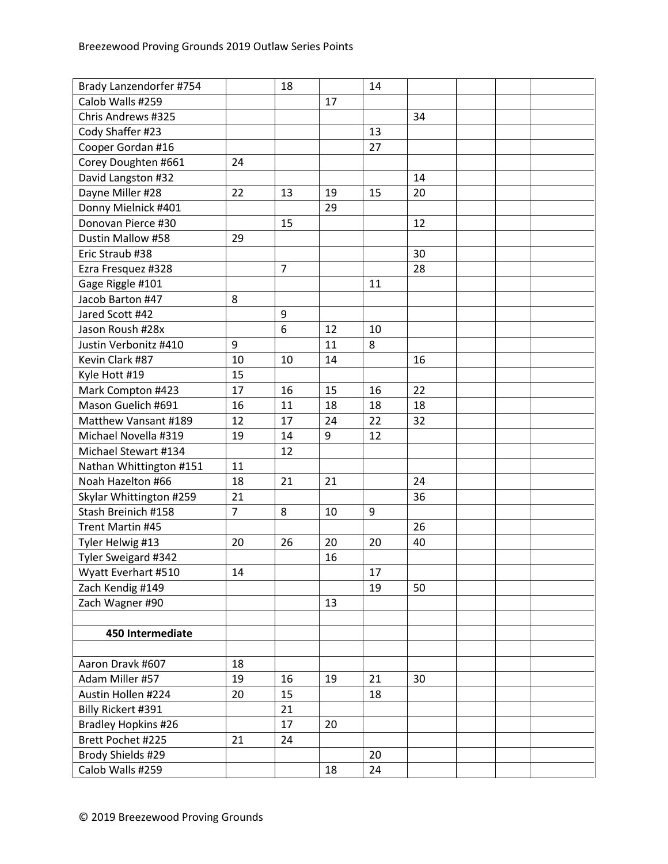| Brady Lanzendorfer #754    |                | 18             |    | 14 |    |  |  |
|----------------------------|----------------|----------------|----|----|----|--|--|
| Calob Walls #259           |                |                | 17 |    |    |  |  |
| Chris Andrews #325         |                |                |    |    | 34 |  |  |
| Cody Shaffer #23           |                |                |    | 13 |    |  |  |
| Cooper Gordan #16          |                |                |    | 27 |    |  |  |
| Corey Doughten #661        | 24             |                |    |    |    |  |  |
| David Langston #32         |                |                |    |    | 14 |  |  |
| Dayne Miller #28           | 22             | 13             | 19 | 15 | 20 |  |  |
| Donny Mielnick #401        |                |                | 29 |    |    |  |  |
| Donovan Pierce #30         |                | 15             |    |    | 12 |  |  |
| Dustin Mallow #58          | 29             |                |    |    |    |  |  |
| Eric Straub #38            |                |                |    |    | 30 |  |  |
| Ezra Fresquez #328         |                | $\overline{7}$ |    |    | 28 |  |  |
| Gage Riggle #101           |                |                |    | 11 |    |  |  |
| Jacob Barton #47           | 8              |                |    |    |    |  |  |
| Jared Scott #42            |                | 9              |    |    |    |  |  |
| Jason Roush #28x           |                | 6              | 12 | 10 |    |  |  |
| Justin Verbonitz #410      | 9              |                | 11 | 8  |    |  |  |
| Kevin Clark #87            | 10             | 10             | 14 |    | 16 |  |  |
| Kyle Hott #19              | 15             |                |    |    |    |  |  |
| Mark Compton #423          | 17             | 16             | 15 | 16 | 22 |  |  |
| Mason Guelich #691         | 16             | 11             | 18 | 18 | 18 |  |  |
| Matthew Vansant #189       | 12             | 17             | 24 | 22 | 32 |  |  |
| Michael Novella #319       | 19             | 14             | 9  | 12 |    |  |  |
| Michael Stewart #134       |                | 12             |    |    |    |  |  |
| Nathan Whittington #151    | 11             |                |    |    |    |  |  |
| Noah Hazelton #66          | 18             | 21             | 21 |    | 24 |  |  |
| Skylar Whittington #259    | 21             |                |    |    | 36 |  |  |
| Stash Breinich #158        | $\overline{7}$ | 8              | 10 | 9  |    |  |  |
| Trent Martin #45           |                |                |    |    | 26 |  |  |
| Tyler Helwig #13           | 20             | 26             | 20 | 20 | 40 |  |  |
| Tyler Sweigard #342        |                |                | 16 |    |    |  |  |
| Wyatt Everhart #510        | 14             |                |    | 17 |    |  |  |
| Zach Kendig #149           |                |                |    | 19 | 50 |  |  |
| Zach Wagner #90            |                |                | 13 |    |    |  |  |
|                            |                |                |    |    |    |  |  |
| 450 Intermediate           |                |                |    |    |    |  |  |
|                            |                |                |    |    |    |  |  |
| Aaron Dravk #607           | 18             |                |    |    |    |  |  |
| Adam Miller #57            | 19             | 16             | 19 | 21 | 30 |  |  |
| Austin Hollen #224         | 20             | 15             |    | 18 |    |  |  |
| Billy Rickert #391         |                | 21             |    |    |    |  |  |
| <b>Bradley Hopkins #26</b> |                | 17             | 20 |    |    |  |  |
| Brett Pochet #225          | 21             | 24             |    |    |    |  |  |
| Brody Shields #29          |                |                |    | 20 |    |  |  |
| Calob Walls #259           |                |                | 18 | 24 |    |  |  |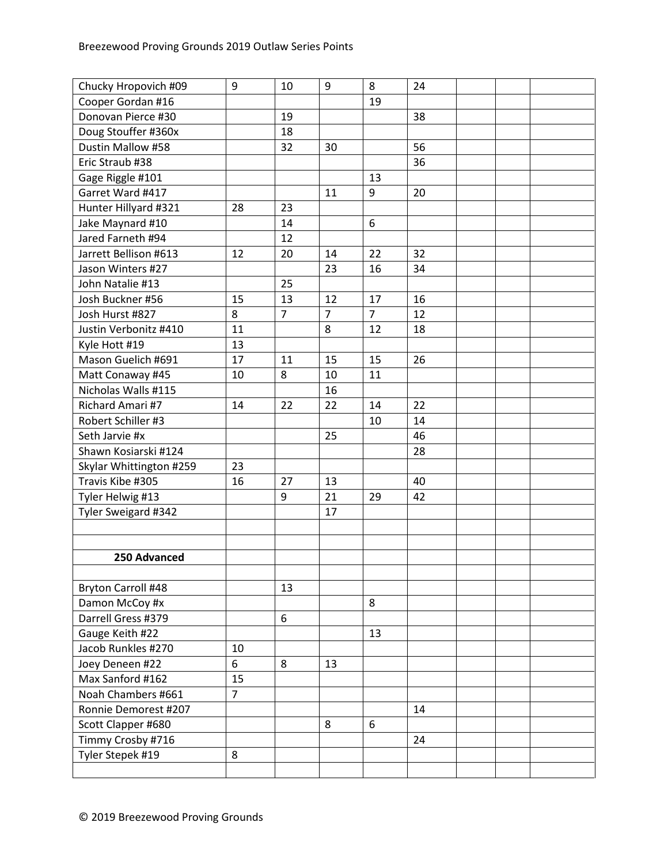| Chucky Hropovich #09    | 9              | 10             | 9              | 8              | 24 |  |  |
|-------------------------|----------------|----------------|----------------|----------------|----|--|--|
| Cooper Gordan #16       |                |                |                | 19             |    |  |  |
| Donovan Pierce #30      |                | 19             |                |                | 38 |  |  |
| Doug Stouffer #360x     |                | 18             |                |                |    |  |  |
| Dustin Mallow #58       |                | 32             | 30             |                | 56 |  |  |
| Eric Straub #38         |                |                |                |                | 36 |  |  |
| Gage Riggle #101        |                |                |                | 13             |    |  |  |
| Garret Ward #417        |                |                | 11             | 9              | 20 |  |  |
| Hunter Hillyard #321    | 28             | 23             |                |                |    |  |  |
| Jake Maynard #10        |                | 14             |                | 6              |    |  |  |
| Jared Farneth #94       |                | 12             |                |                |    |  |  |
| Jarrett Bellison #613   | 12             | 20             | 14             | 22             | 32 |  |  |
| Jason Winters #27       |                |                | 23             | 16             | 34 |  |  |
| John Natalie #13        |                | 25             |                |                |    |  |  |
| Josh Buckner #56        | 15             | 13             | 12             | 17             | 16 |  |  |
| Josh Hurst #827         | 8              | $\overline{7}$ | $\overline{7}$ | $\overline{7}$ | 12 |  |  |
| Justin Verbonitz #410   | 11             |                | 8              | 12             | 18 |  |  |
| Kyle Hott #19           | 13             |                |                |                |    |  |  |
| Mason Guelich #691      | 17             | 11             | 15             | 15             | 26 |  |  |
| Matt Conaway #45        | 10             | 8              | 10             | 11             |    |  |  |
| Nicholas Walls #115     |                |                | 16             |                |    |  |  |
| Richard Amari #7        | 14             | 22             | 22             | 14             | 22 |  |  |
| Robert Schiller #3      |                |                |                | 10             | 14 |  |  |
| Seth Jarvie #x          |                |                | 25             |                | 46 |  |  |
| Shawn Kosiarski #124    |                |                |                |                | 28 |  |  |
| Skylar Whittington #259 | 23             |                |                |                |    |  |  |
| Travis Kibe #305        | 16             | 27             | 13             |                | 40 |  |  |
| Tyler Helwig #13        |                | 9              | 21             | 29             | 42 |  |  |
| Tyler Sweigard #342     |                |                | 17             |                |    |  |  |
|                         |                |                |                |                |    |  |  |
|                         |                |                |                |                |    |  |  |
| 250 Advanced            |                |                |                |                |    |  |  |
|                         |                |                |                |                |    |  |  |
| Bryton Carroll #48      |                | 13             |                |                |    |  |  |
| Damon McCoy #x          |                |                |                | 8              |    |  |  |
| Darrell Gress #379      |                | 6              |                |                |    |  |  |
| Gauge Keith #22         |                |                |                | 13             |    |  |  |
| Jacob Runkles #270      | 10             |                |                |                |    |  |  |
| Joey Deneen #22         | 6              | 8              | 13             |                |    |  |  |
| Max Sanford #162        | 15             |                |                |                |    |  |  |
| Noah Chambers #661      | $\overline{7}$ |                |                |                |    |  |  |
| Ronnie Demorest #207    |                |                |                |                | 14 |  |  |
| Scott Clapper #680      |                |                | 8              | 6              |    |  |  |
| Timmy Crosby #716       |                |                |                |                | 24 |  |  |
| Tyler Stepek #19        | 8              |                |                |                |    |  |  |
|                         |                |                |                |                |    |  |  |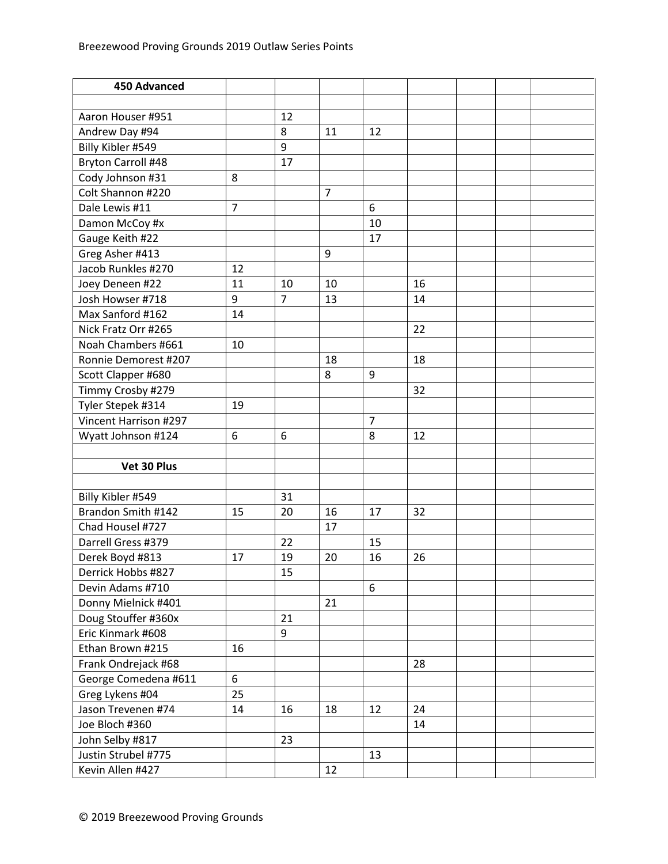| <b>450 Advanced</b>   |                |                |                |                |    |  |  |
|-----------------------|----------------|----------------|----------------|----------------|----|--|--|
|                       |                |                |                |                |    |  |  |
| Aaron Houser #951     |                | 12             |                |                |    |  |  |
| Andrew Day #94        |                | 8              | 11             | 12             |    |  |  |
| Billy Kibler #549     |                | 9              |                |                |    |  |  |
| Bryton Carroll #48    |                | 17             |                |                |    |  |  |
| Cody Johnson #31      | 8              |                |                |                |    |  |  |
| Colt Shannon #220     |                |                | $\overline{7}$ |                |    |  |  |
| Dale Lewis #11        | $\overline{7}$ |                |                | 6              |    |  |  |
| Damon McCoy #x        |                |                |                | 10             |    |  |  |
| Gauge Keith #22       |                |                |                | 17             |    |  |  |
| Greg Asher #413       |                |                | 9              |                |    |  |  |
| Jacob Runkles #270    | 12             |                |                |                |    |  |  |
| Joey Deneen #22       | 11             | 10             | 10             |                | 16 |  |  |
| Josh Howser #718      | 9              | $\overline{7}$ | 13             |                | 14 |  |  |
| Max Sanford #162      | 14             |                |                |                |    |  |  |
| Nick Fratz Orr #265   |                |                |                |                | 22 |  |  |
| Noah Chambers #661    | 10             |                |                |                |    |  |  |
| Ronnie Demorest #207  |                |                | 18             |                | 18 |  |  |
| Scott Clapper #680    |                |                | 8              | 9              |    |  |  |
| Timmy Crosby #279     |                |                |                |                | 32 |  |  |
| Tyler Stepek #314     | 19             |                |                |                |    |  |  |
| Vincent Harrison #297 |                |                |                | $\overline{7}$ |    |  |  |
| Wyatt Johnson #124    | 6              | 6              |                | 8              | 12 |  |  |
|                       |                |                |                |                |    |  |  |
| Vet 30 Plus           |                |                |                |                |    |  |  |
|                       |                |                |                |                |    |  |  |
| Billy Kibler #549     |                | 31             |                |                |    |  |  |
| Brandon Smith #142    | 15             | 20             | 16             | 17             | 32 |  |  |
| Chad Housel #727      |                |                | 17             |                |    |  |  |
| Darrell Gress #379    |                | 22             |                | 15             |    |  |  |
| Derek Boyd #813       | 17             | 19             | 20             | 16             | 26 |  |  |
| Derrick Hobbs #827    |                | 15             |                |                |    |  |  |
| Devin Adams #710      |                |                |                | 6              |    |  |  |
| Donny Mielnick #401   |                |                | 21             |                |    |  |  |
| Doug Stouffer #360x   |                | 21             |                |                |    |  |  |
| Eric Kinmark #608     |                | 9              |                |                |    |  |  |
| Ethan Brown #215      | 16             |                |                |                |    |  |  |
| Frank Ondrejack #68   |                |                |                |                | 28 |  |  |
| George Comedena #611  | 6              |                |                |                |    |  |  |
| Greg Lykens #04       | 25             |                |                |                |    |  |  |
| Jason Trevenen #74    | 14             | 16             | 18             | 12             | 24 |  |  |
| Joe Bloch #360        |                |                |                |                | 14 |  |  |
| John Selby #817       |                | 23             |                |                |    |  |  |
| Justin Strubel #775   |                |                |                | 13             |    |  |  |
| Kevin Allen #427      |                |                | 12             |                |    |  |  |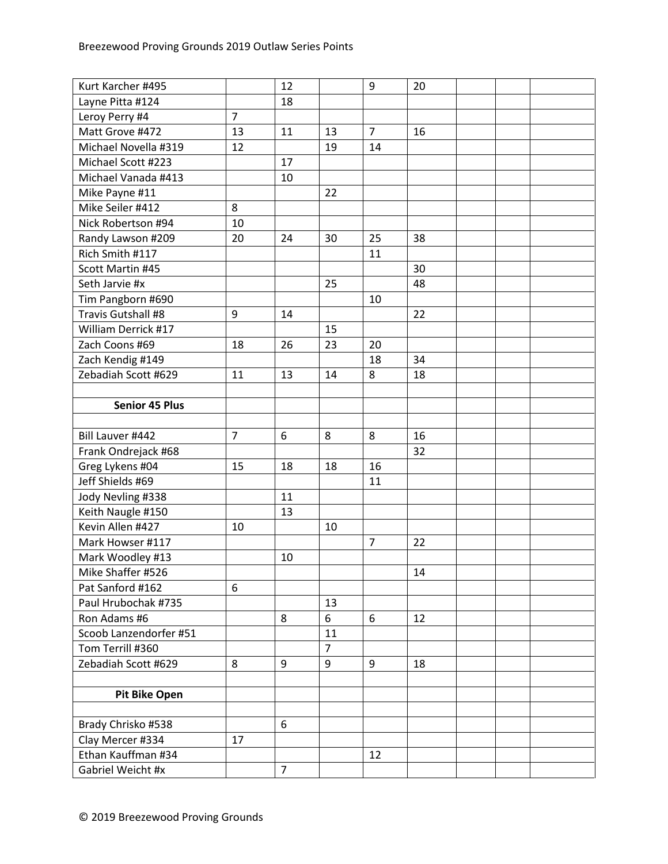| Kurt Karcher #495      |                | 12             |                | 9              | 20 |  |  |
|------------------------|----------------|----------------|----------------|----------------|----|--|--|
| Layne Pitta #124       |                | 18             |                |                |    |  |  |
| Leroy Perry #4         | $\overline{7}$ |                |                |                |    |  |  |
| Matt Grove #472        | 13             | 11             | 13             | $\overline{7}$ | 16 |  |  |
| Michael Novella #319   | 12             |                | 19             | 14             |    |  |  |
| Michael Scott #223     |                | 17             |                |                |    |  |  |
| Michael Vanada #413    |                | 10             |                |                |    |  |  |
| Mike Payne #11         |                |                | 22             |                |    |  |  |
| Mike Seiler #412       | 8              |                |                |                |    |  |  |
| Nick Robertson #94     | 10             |                |                |                |    |  |  |
| Randy Lawson #209      | 20             | 24             | 30             | 25             | 38 |  |  |
| Rich Smith #117        |                |                |                | 11             |    |  |  |
| Scott Martin #45       |                |                |                |                | 30 |  |  |
| Seth Jarvie #x         |                |                | 25             |                | 48 |  |  |
| Tim Pangborn #690      |                |                |                | 10             |    |  |  |
| Travis Gutshall #8     | 9              | 14             |                |                | 22 |  |  |
| William Derrick #17    |                |                | 15             |                |    |  |  |
| Zach Coons #69         | 18             | 26             | 23             | 20             |    |  |  |
| Zach Kendig #149       |                |                |                | 18             | 34 |  |  |
| Zebadiah Scott #629    | 11             | 13             | 14             | 8              | 18 |  |  |
|                        |                |                |                |                |    |  |  |
| <b>Senior 45 Plus</b>  |                |                |                |                |    |  |  |
|                        |                |                |                |                |    |  |  |
| Bill Lauver #442       | $\overline{7}$ | 6              | 8              | 8              | 16 |  |  |
| Frank Ondrejack #68    |                |                |                |                | 32 |  |  |
| Greg Lykens #04        | 15             | 18             | 18             | 16             |    |  |  |
| Jeff Shields #69       |                |                |                | 11             |    |  |  |
| Jody Nevling #338      |                | 11             |                |                |    |  |  |
| Keith Naugle #150      |                | 13             |                |                |    |  |  |
| Kevin Allen #427       | 10             |                | 10             |                |    |  |  |
| Mark Howser #117       |                |                |                | $\overline{7}$ | 22 |  |  |
| Mark Woodley #13       |                | 10             |                |                |    |  |  |
| Mike Shaffer #526      |                |                |                |                | 14 |  |  |
| Pat Sanford #162       | 6              |                |                |                |    |  |  |
| Paul Hrubochak #735    |                |                | 13             |                |    |  |  |
| Ron Adams #6           |                | 8              | 6              | 6              | 12 |  |  |
| Scoob Lanzendorfer #51 |                |                | 11             |                |    |  |  |
| Tom Terrill #360       |                |                | $\overline{7}$ |                |    |  |  |
| Zebadiah Scott #629    | 8              | 9              | 9              | 9              | 18 |  |  |
|                        |                |                |                |                |    |  |  |
| <b>Pit Bike Open</b>   |                |                |                |                |    |  |  |
|                        |                |                |                |                |    |  |  |
| Brady Chrisko #538     |                | 6              |                |                |    |  |  |
| Clay Mercer #334       | 17             |                |                |                |    |  |  |
| Ethan Kauffman #34     |                |                |                | 12             |    |  |  |
| Gabriel Weicht #x      |                | $\overline{7}$ |                |                |    |  |  |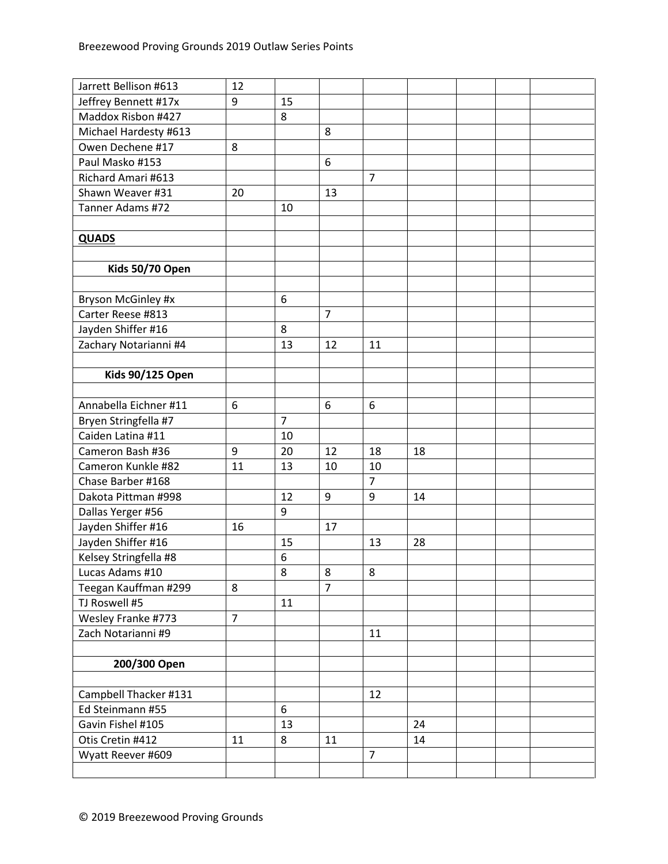| Jarrett Bellison #613   | 12             |                |                |                |    |  |  |
|-------------------------|----------------|----------------|----------------|----------------|----|--|--|
| Jeffrey Bennett #17x    | 9              | 15             |                |                |    |  |  |
| Maddox Risbon #427      |                | 8              |                |                |    |  |  |
| Michael Hardesty #613   |                |                | 8              |                |    |  |  |
| Owen Dechene #17        | 8              |                |                |                |    |  |  |
| Paul Masko #153         |                |                | 6              |                |    |  |  |
| Richard Amari #613      |                |                |                | $\overline{7}$ |    |  |  |
| Shawn Weaver #31        | 20             |                | 13             |                |    |  |  |
| Tanner Adams #72        |                | 10             |                |                |    |  |  |
|                         |                |                |                |                |    |  |  |
| <b>QUADS</b>            |                |                |                |                |    |  |  |
|                         |                |                |                |                |    |  |  |
| Kids 50/70 Open         |                |                |                |                |    |  |  |
|                         |                |                |                |                |    |  |  |
| Bryson McGinley #x      |                | 6              |                |                |    |  |  |
| Carter Reese #813       |                |                | $\overline{7}$ |                |    |  |  |
| Jayden Shiffer #16      |                | 8              |                |                |    |  |  |
| Zachary Notarianni #4   |                | 13             | 12             | 11             |    |  |  |
|                         |                |                |                |                |    |  |  |
| <b>Kids 90/125 Open</b> |                |                |                |                |    |  |  |
|                         |                |                |                |                |    |  |  |
| Annabella Eichner #11   | 6              |                | 6              | 6              |    |  |  |
| Bryen Stringfella #7    |                | $\overline{7}$ |                |                |    |  |  |
| Caiden Latina #11       |                | 10             |                |                |    |  |  |
| Cameron Bash #36        | 9              | 20             | 12             | 18             | 18 |  |  |
| Cameron Kunkle #82      | 11             | 13             | 10             | 10             |    |  |  |
| Chase Barber #168       |                |                |                | $\overline{7}$ |    |  |  |
| Dakota Pittman #998     |                | 12             | 9              | 9              | 14 |  |  |
| Dallas Yerger #56       |                | 9              |                |                |    |  |  |
| Jayden Shiffer #16      | 16             |                | 17             |                |    |  |  |
| Jayden Shiffer #16      |                | 15             |                | 13             | 28 |  |  |
| Kelsey Stringfella #8   |                | 6              |                |                |    |  |  |
| Lucas Adams #10         |                | 8              | 8              | 8              |    |  |  |
| Teegan Kauffman #299    | 8              |                | $\overline{7}$ |                |    |  |  |
| TJ Roswell #5           |                | 11             |                |                |    |  |  |
| Wesley Franke #773      | $\overline{7}$ |                |                |                |    |  |  |
| Zach Notarianni #9      |                |                |                | 11             |    |  |  |
|                         |                |                |                |                |    |  |  |
| 200/300 Open            |                |                |                |                |    |  |  |
|                         |                |                |                |                |    |  |  |
| Campbell Thacker #131   |                |                |                | 12             |    |  |  |
| Ed Steinmann #55        |                | 6              |                |                |    |  |  |
| Gavin Fishel #105       |                | 13             |                |                | 24 |  |  |
| Otis Cretin #412        | 11             | 8              | 11             |                | 14 |  |  |
| Wyatt Reever #609       |                |                |                | 7              |    |  |  |
|                         |                |                |                |                |    |  |  |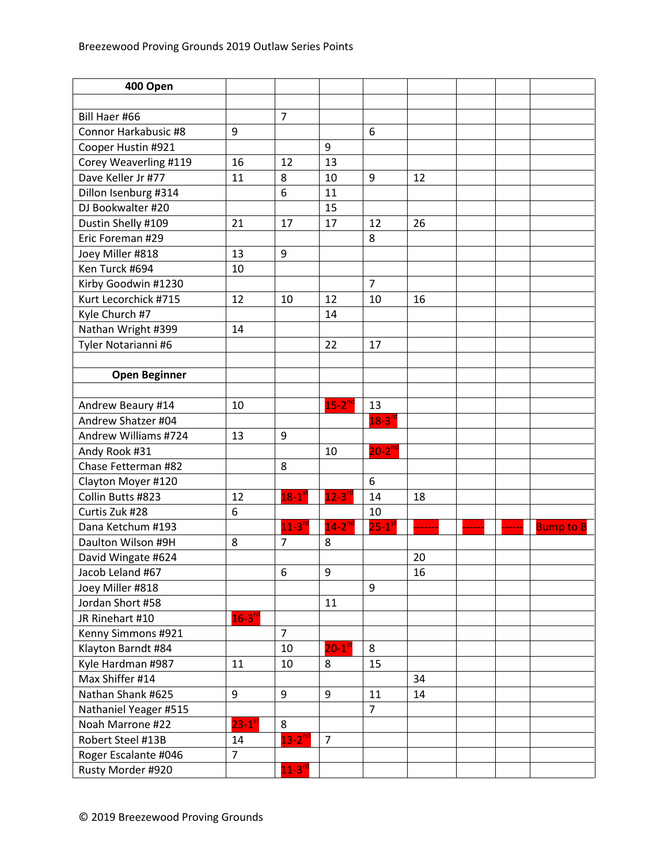| 400 Open              |                        |                      |                       |                      |    |  |                  |
|-----------------------|------------------------|----------------------|-----------------------|----------------------|----|--|------------------|
|                       |                        |                      |                       |                      |    |  |                  |
| Bill Haer #66         |                        | $\overline{7}$       |                       |                      |    |  |                  |
| Connor Harkabusic #8  | 9                      |                      |                       | 6                    |    |  |                  |
| Cooper Hustin #921    |                        |                      | 9                     |                      |    |  |                  |
| Corey Weaverling #119 | 16                     | 12                   | 13                    |                      |    |  |                  |
| Dave Keller Jr #77    | 11                     | 8                    | 10                    | 9                    | 12 |  |                  |
| Dillon Isenburg #314  |                        | 6                    | 11                    |                      |    |  |                  |
| DJ Bookwalter #20     |                        |                      | 15                    |                      |    |  |                  |
| Dustin Shelly #109    | 21                     | 17                   | 17                    | 12                   | 26 |  |                  |
| Eric Foreman #29      |                        |                      |                       | 8                    |    |  |                  |
| Joey Miller #818      | 13                     | 9                    |                       |                      |    |  |                  |
| Ken Turck #694        | 10                     |                      |                       |                      |    |  |                  |
| Kirby Goodwin #1230   |                        |                      |                       | $\overline{7}$       |    |  |                  |
| Kurt Lecorchick #715  | 12                     | 10                   | 12                    | 10                   | 16 |  |                  |
| Kyle Church #7        |                        |                      | 14                    |                      |    |  |                  |
| Nathan Wright #399    | 14                     |                      |                       |                      |    |  |                  |
| Tyler Notarianni #6   |                        |                      | 22                    | 17                   |    |  |                  |
|                       |                        |                      |                       |                      |    |  |                  |
| <b>Open Beginner</b>  |                        |                      |                       |                      |    |  |                  |
|                       |                        |                      |                       |                      |    |  |                  |
| Andrew Beaury #14     | 10                     |                      | $15-2$ <sup>nc</sup>  | 13                   |    |  |                  |
| Andrew Shatzer #04    |                        |                      |                       | $18-3^{rd}$          |    |  |                  |
| Andrew Williams #724  | 13                     | 9                    |                       |                      |    |  |                  |
| Andy Rook #31         |                        |                      | 10                    | $20-2^{nd}$          |    |  |                  |
| Chase Fetterman #82   |                        | 8                    |                       |                      |    |  |                  |
| Clayton Moyer #120    |                        |                      |                       | 6                    |    |  |                  |
| Collin Butts #823     | 12                     | $18-1$ <sup>st</sup> | $12 - 3$ <sup>r</sup> | 14                   | 18 |  |                  |
| Curtis Zuk #28        | 6                      |                      |                       | 10                   |    |  |                  |
| Dana Ketchum #193     |                        | $11-3$ <sup>rd</sup> | $14-2^{nd}$           | $25-1$ <sup>st</sup> |    |  | <b>Bump to B</b> |
| Daulton Wilson #9H    | 8                      | $\overline{7}$       | 8                     |                      |    |  |                  |
| David Wingate #624    |                        |                      |                       |                      | 20 |  |                  |
| Jacob Leland #67      |                        | 6                    | 9                     |                      | 16 |  |                  |
| Joey Miller #818      |                        |                      |                       | 9                    |    |  |                  |
| Jordan Short #58      |                        |                      | 11                    |                      |    |  |                  |
| JR Rinehart #10       | $16 - 3^{rd}$          |                      |                       |                      |    |  |                  |
| Kenny Simmons #921    |                        | $\overline{7}$       |                       |                      |    |  |                  |
| Klayton Barndt #84    |                        | 10                   | $20-1$ sl             | 8                    |    |  |                  |
| Kyle Hardman #987     | 11                     | 10                   | 8                     | 15                   |    |  |                  |
| Max Shiffer #14       |                        |                      |                       |                      | 34 |  |                  |
| Nathan Shank #625     | 9                      | 9                    | 9                     | 11                   | 14 |  |                  |
| Nathaniel Yeager #515 |                        |                      |                       | $\overline{7}$       |    |  |                  |
| Noah Marrone #22      | $23 - 1$ <sup>st</sup> | 8                    |                       |                      |    |  |                  |
| Robert Steel #13B     | 14                     | $13 - 2^{nd}$        | $\overline{7}$        |                      |    |  |                  |
| Roger Escalante #046  | $\overline{7}$         |                      |                       |                      |    |  |                  |
| Rusty Morder #920     |                        | $11-3$ <sup>rd</sup> |                       |                      |    |  |                  |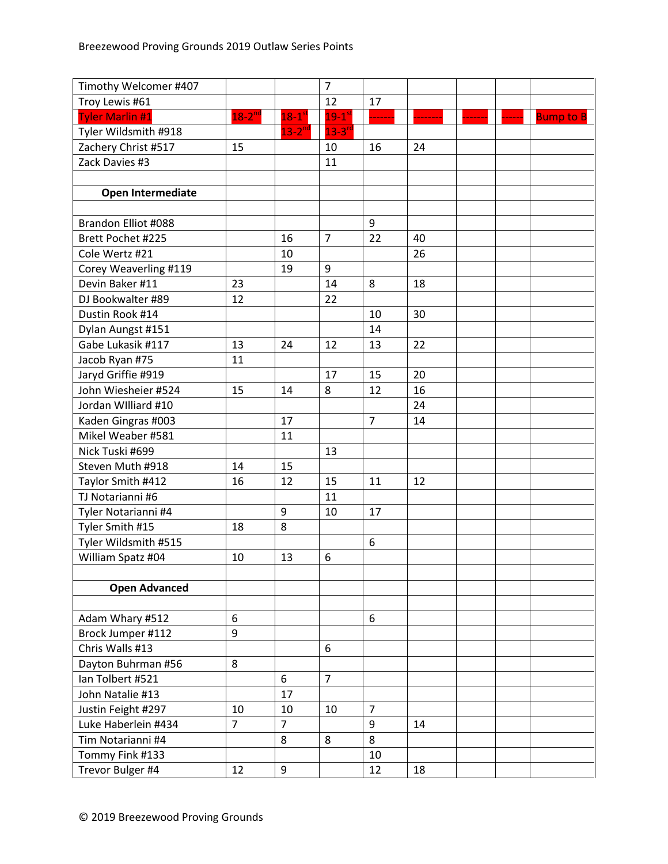| Timothy Welcomer #407    |                |                      | $\overline{7}$      |                |    |  |                  |
|--------------------------|----------------|----------------------|---------------------|----------------|----|--|------------------|
| Troy Lewis #61           |                |                      | 12                  | 17             |    |  |                  |
| <b>Tyler Marlin #1</b>   | $18-2^{nd}$    | $18-1$ <sup>st</sup> | $19-1$ <sup>s</sup> |                |    |  | <b>Bump to B</b> |
| Tyler Wildsmith #918     |                | $13 - 2^{nc}$        | $13 - 3^{r}$        |                |    |  |                  |
| Zachery Christ #517      | 15             |                      | 10                  | 16             | 24 |  |                  |
| Zack Davies #3           |                |                      | 11                  |                |    |  |                  |
|                          |                |                      |                     |                |    |  |                  |
| <b>Open Intermediate</b> |                |                      |                     |                |    |  |                  |
|                          |                |                      |                     |                |    |  |                  |
| Brandon Elliot #088      |                |                      |                     | 9              |    |  |                  |
| Brett Pochet #225        |                | 16                   | $\overline{7}$      | 22             | 40 |  |                  |
| Cole Wertz #21           |                | 10                   |                     |                | 26 |  |                  |
| Corey Weaverling #119    |                | 19                   | 9                   |                |    |  |                  |
| Devin Baker #11          | 23             |                      | 14                  | 8              | 18 |  |                  |
| DJ Bookwalter #89        | 12             |                      | 22                  |                |    |  |                  |
| Dustin Rook #14          |                |                      |                     | 10             | 30 |  |                  |
| Dylan Aungst #151        |                |                      |                     | 14             |    |  |                  |
| Gabe Lukasik #117        | 13             | 24                   | 12                  | 13             | 22 |  |                  |
| Jacob Ryan #75           | 11             |                      |                     |                |    |  |                  |
| Jaryd Griffie #919       |                |                      | 17                  | 15             | 20 |  |                  |
| John Wiesheier #524      | 15             | 14                   | 8                   | 12             | 16 |  |                  |
| Jordan Williard #10      |                |                      |                     |                | 24 |  |                  |
| Kaden Gingras #003       |                | 17                   |                     | $\overline{7}$ | 14 |  |                  |
| Mikel Weaber #581        |                | 11                   |                     |                |    |  |                  |
| Nick Tuski #699          |                |                      | 13                  |                |    |  |                  |
| Steven Muth #918         | 14             | 15                   |                     |                |    |  |                  |
| Taylor Smith #412        | 16             | 12                   | 15                  | 11             | 12 |  |                  |
| TJ Notarianni #6         |                |                      | 11                  |                |    |  |                  |
| Tyler Notarianni #4      |                | 9                    | 10                  | 17             |    |  |                  |
| Tyler Smith #15          | 18             | 8                    |                     |                |    |  |                  |
| Tyler Wildsmith #515     |                |                      |                     | 6              |    |  |                  |
| William Spatz #04        | 10             | 13                   | 6                   |                |    |  |                  |
|                          |                |                      |                     |                |    |  |                  |
| <b>Open Advanced</b>     |                |                      |                     |                |    |  |                  |
|                          |                |                      |                     |                |    |  |                  |
| Adam Whary #512          | 6              |                      |                     | 6              |    |  |                  |
| Brock Jumper #112        | 9              |                      |                     |                |    |  |                  |
| Chris Walls #13          |                |                      | 6                   |                |    |  |                  |
| Dayton Buhrman #56       | 8              |                      |                     |                |    |  |                  |
| Ian Tolbert #521         |                | 6                    | $\overline{7}$      |                |    |  |                  |
| John Natalie #13         |                | 17                   |                     |                |    |  |                  |
| Justin Feight #297       | 10             | 10                   | 10                  | $\overline{7}$ |    |  |                  |
| Luke Haberlein #434      | $\overline{7}$ | $\overline{7}$       |                     | 9              | 14 |  |                  |
| Tim Notarianni #4        |                | 8                    | 8                   | 8              |    |  |                  |
| Tommy Fink #133          |                |                      |                     | 10             |    |  |                  |
| Trevor Bulger #4         | 12             | 9                    |                     | 12             | 18 |  |                  |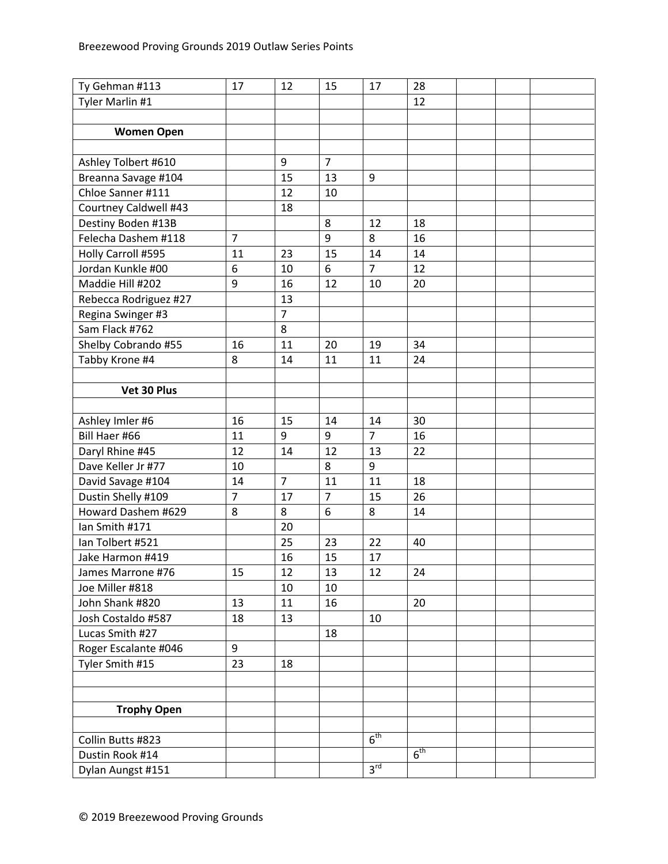| Ty Gehman #113        | 17             | 12             | 15             | 17              | 28              |  |  |
|-----------------------|----------------|----------------|----------------|-----------------|-----------------|--|--|
| Tyler Marlin #1       |                |                |                |                 | 12              |  |  |
|                       |                |                |                |                 |                 |  |  |
| <b>Women Open</b>     |                |                |                |                 |                 |  |  |
|                       |                |                |                |                 |                 |  |  |
| Ashley Tolbert #610   |                | 9              | $\overline{7}$ |                 |                 |  |  |
| Breanna Savage #104   |                | 15             | 13             | 9               |                 |  |  |
| Chloe Sanner #111     |                | 12             | 10             |                 |                 |  |  |
| Courtney Caldwell #43 |                | 18             |                |                 |                 |  |  |
| Destiny Boden #13B    |                |                | 8              | 12              | 18              |  |  |
| Felecha Dashem #118   | $\overline{7}$ |                | 9              | 8               | 16              |  |  |
| Holly Carroll #595    | 11             | 23             | 15             | 14              | 14              |  |  |
| Jordan Kunkle #00     | 6              | 10             | 6              | $\overline{7}$  | 12              |  |  |
| Maddie Hill #202      | 9              | 16             | 12             | 10              | 20              |  |  |
| Rebecca Rodriguez #27 |                | 13             |                |                 |                 |  |  |
| Regina Swinger #3     |                | $\overline{7}$ |                |                 |                 |  |  |
| Sam Flack #762        |                | 8              |                |                 |                 |  |  |
| Shelby Cobrando #55   | 16             | 11             | 20             | 19              | 34              |  |  |
| Tabby Krone #4        | 8              | 14             | 11             | 11              | 24              |  |  |
|                       |                |                |                |                 |                 |  |  |
| Vet 30 Plus           |                |                |                |                 |                 |  |  |
|                       |                |                |                |                 |                 |  |  |
| Ashley Imler #6       | 16             | 15             | 14             | 14              | 30              |  |  |
| Bill Haer #66         | 11             | 9              | 9              | $\overline{7}$  | 16              |  |  |
| Daryl Rhine #45       | 12             | 14             | 12             | 13              | 22              |  |  |
| Dave Keller Jr #77    | 10             |                | 8              | 9               |                 |  |  |
| David Savage #104     | 14             | 7              | 11             | 11              | 18              |  |  |
| Dustin Shelly #109    | $\overline{7}$ | 17             | $\overline{7}$ | 15              | 26              |  |  |
| Howard Dashem #629    | 8              | 8              | 6              | 8               | 14              |  |  |
| Ian Smith #171        |                | 20             |                |                 |                 |  |  |
| Ian Tolbert #521      |                | 25             | 23             | 22              | 40              |  |  |
| Jake Harmon #419      |                | 16             | 15             | 17              |                 |  |  |
| James Marrone #76     | 15             | 12             | 13             | 12              | 24              |  |  |
| Joe Miller #818       |                | 10             | 10             |                 |                 |  |  |
| John Shank #820       | 13             | 11             | 16             |                 | 20              |  |  |
| Josh Costaldo #587    | 18             | 13             |                | 10              |                 |  |  |
| Lucas Smith #27       |                |                | 18             |                 |                 |  |  |
| Roger Escalante #046  | 9              |                |                |                 |                 |  |  |
| Tyler Smith #15       | 23             | 18             |                |                 |                 |  |  |
|                       |                |                |                |                 |                 |  |  |
|                       |                |                |                |                 |                 |  |  |
| <b>Trophy Open</b>    |                |                |                |                 |                 |  |  |
|                       |                |                |                |                 |                 |  |  |
| Collin Butts #823     |                |                |                | 6 <sup>th</sup> |                 |  |  |
| Dustin Rook #14       |                |                |                |                 | 6 <sup>th</sup> |  |  |
| Dylan Aungst #151     |                |                |                | 3 <sup>rd</sup> |                 |  |  |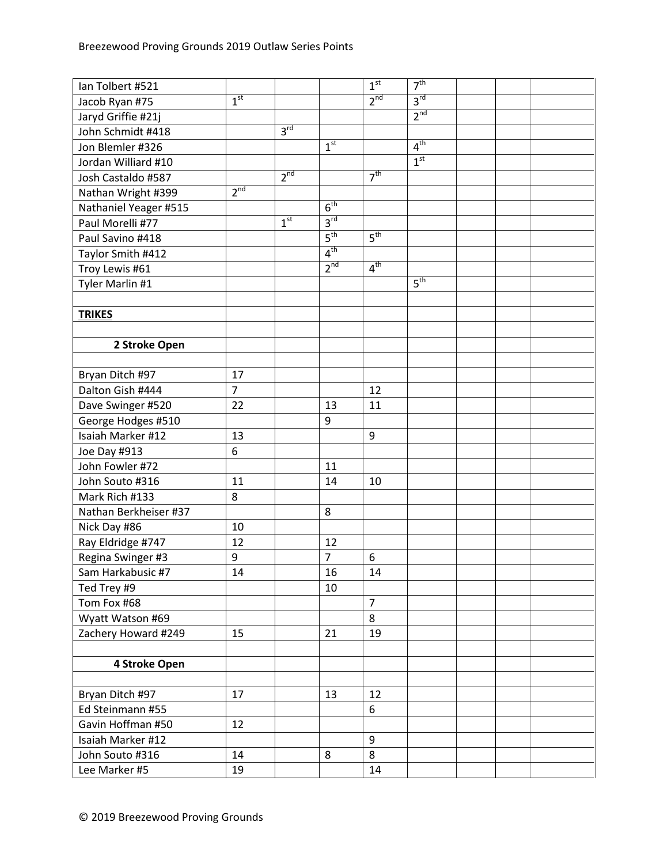| Ian Tolbert #521      |                 |                 |                 | 1 <sup>st</sup> | 7 <sup>th</sup> |  |  |
|-----------------------|-----------------|-----------------|-----------------|-----------------|-----------------|--|--|
| Jacob Ryan #75        | 1 <sup>st</sup> |                 |                 | $2^{nd}$        | $3^{\text{rd}}$ |  |  |
| Jaryd Griffie #21j    |                 |                 |                 |                 | 2 <sup>nd</sup> |  |  |
| John Schmidt #418     |                 | 3 <sup>rd</sup> |                 |                 |                 |  |  |
| Jon Blemler #326      |                 |                 | 1 <sup>st</sup> |                 | 4 <sup>th</sup> |  |  |
| Jordan Williard #10   |                 |                 |                 |                 | 1 <sup>st</sup> |  |  |
| Josh Castaldo #587    |                 | 2 <sup>nd</sup> |                 | 7 <sup>th</sup> |                 |  |  |
| Nathan Wright #399    | 2 <sup>nd</sup> |                 |                 |                 |                 |  |  |
| Nathaniel Yeager #515 |                 |                 | 6 <sup>th</sup> |                 |                 |  |  |
| Paul Morelli #77      |                 | 1 <sup>st</sup> | 3 <sup>rd</sup> |                 |                 |  |  |
| Paul Savino #418      |                 |                 | 5 <sup>th</sup> | 5 <sup>th</sup> |                 |  |  |
| Taylor Smith #412     |                 |                 | 4 <sup>th</sup> |                 |                 |  |  |
| Troy Lewis #61        |                 |                 | 2 <sup>nd</sup> | 4 <sup>th</sup> |                 |  |  |
| Tyler Marlin #1       |                 |                 |                 |                 | 5 <sup>th</sup> |  |  |
|                       |                 |                 |                 |                 |                 |  |  |
| <b>TRIKES</b>         |                 |                 |                 |                 |                 |  |  |
|                       |                 |                 |                 |                 |                 |  |  |
| 2 Stroke Open         |                 |                 |                 |                 |                 |  |  |
|                       |                 |                 |                 |                 |                 |  |  |
| Bryan Ditch #97       | 17              |                 |                 |                 |                 |  |  |
| Dalton Gish #444      | $\overline{7}$  |                 |                 | 12              |                 |  |  |
| Dave Swinger #520     | 22              |                 | 13              | 11              |                 |  |  |
| George Hodges #510    |                 |                 | 9               |                 |                 |  |  |
| Isaiah Marker #12     | 13              |                 |                 | 9               |                 |  |  |
| Joe Day #913          | 6               |                 |                 |                 |                 |  |  |
| John Fowler #72       |                 |                 | 11              |                 |                 |  |  |
| John Souto #316       | 11              |                 | 14              | 10              |                 |  |  |
| Mark Rich #133        | 8               |                 |                 |                 |                 |  |  |
| Nathan Berkheiser #37 |                 |                 | 8               |                 |                 |  |  |
| Nick Day #86          | 10              |                 |                 |                 |                 |  |  |
| Ray Eldridge #747     | 12              |                 | 12              |                 |                 |  |  |
| Regina Swinger #3     | 9               |                 | $\overline{7}$  | 6               |                 |  |  |
| Sam Harkabusic #7     | 14              |                 | 16              | 14              |                 |  |  |
| Ted Trey #9           |                 |                 | 10              |                 |                 |  |  |
| Tom Fox #68           |                 |                 |                 | $\overline{7}$  |                 |  |  |
| Wyatt Watson #69      |                 |                 |                 | 8               |                 |  |  |
| Zachery Howard #249   | 15              |                 | 21              | 19              |                 |  |  |
|                       |                 |                 |                 |                 |                 |  |  |
| 4 Stroke Open         |                 |                 |                 |                 |                 |  |  |
|                       |                 |                 |                 |                 |                 |  |  |
| Bryan Ditch #97       | 17              |                 | 13              | 12              |                 |  |  |
| Ed Steinmann #55      |                 |                 |                 | 6               |                 |  |  |
| Gavin Hoffman #50     | 12              |                 |                 |                 |                 |  |  |
| Isaiah Marker #12     |                 |                 |                 | 9               |                 |  |  |
| John Souto #316       | 14              |                 | 8               | 8               |                 |  |  |
| Lee Marker #5         | 19              |                 |                 | 14              |                 |  |  |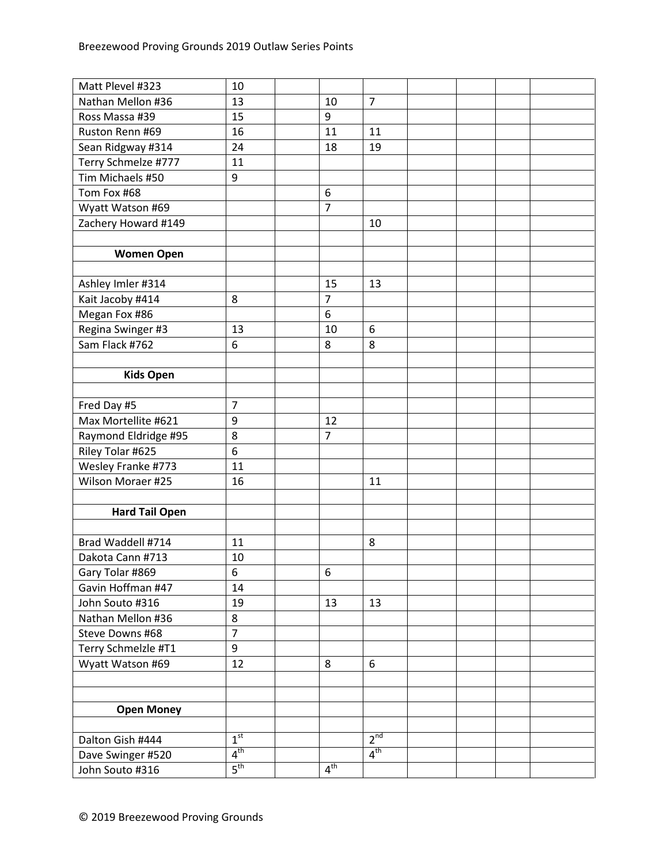| Matt Plevel #323      | 10              |                 |                 |  |  |
|-----------------------|-----------------|-----------------|-----------------|--|--|
| Nathan Mellon #36     | 13              | 10              | $\overline{7}$  |  |  |
| Ross Massa #39        | 15              | 9               |                 |  |  |
| Ruston Renn #69       | 16              | 11              | 11              |  |  |
| Sean Ridgway #314     | 24              | 18              | 19              |  |  |
| Terry Schmelze #777   | 11              |                 |                 |  |  |
| Tim Michaels #50      | 9               |                 |                 |  |  |
| Tom Fox #68           |                 | 6               |                 |  |  |
| Wyatt Watson #69      |                 | $\overline{7}$  |                 |  |  |
| Zachery Howard #149   |                 |                 | 10              |  |  |
|                       |                 |                 |                 |  |  |
| <b>Women Open</b>     |                 |                 |                 |  |  |
|                       |                 |                 |                 |  |  |
| Ashley Imler #314     |                 | 15              | 13              |  |  |
| Kait Jacoby #414      | 8               | $\overline{7}$  |                 |  |  |
| Megan Fox #86         |                 | 6               |                 |  |  |
| Regina Swinger #3     | 13              | 10              | 6               |  |  |
| Sam Flack #762        | 6               | 8               | 8               |  |  |
|                       |                 |                 |                 |  |  |
| <b>Kids Open</b>      |                 |                 |                 |  |  |
|                       |                 |                 |                 |  |  |
| Fred Day #5           | $\overline{7}$  |                 |                 |  |  |
| Max Mortellite #621   | 9               | 12              |                 |  |  |
| Raymond Eldridge #95  | 8               | $\overline{7}$  |                 |  |  |
| Riley Tolar #625      | 6               |                 |                 |  |  |
| Wesley Franke #773    | 11              |                 |                 |  |  |
| Wilson Moraer #25     | 16              |                 | 11              |  |  |
|                       |                 |                 |                 |  |  |
| <b>Hard Tail Open</b> |                 |                 |                 |  |  |
|                       |                 |                 |                 |  |  |
| Brad Waddell #714     | 11              |                 | 8               |  |  |
| Dakota Cann #713      | 10              |                 |                 |  |  |
| Gary Tolar #869       | 6               | 6               |                 |  |  |
| Gavin Hoffman #47     | 14              |                 |                 |  |  |
| John Souto #316       | 19              | 13              | 13              |  |  |
| Nathan Mellon #36     | 8               |                 |                 |  |  |
| Steve Downs #68       | $\overline{7}$  |                 |                 |  |  |
| Terry Schmelzle #T1   | 9               |                 |                 |  |  |
| Wyatt Watson #69      | 12              | 8               | 6               |  |  |
|                       |                 |                 |                 |  |  |
|                       |                 |                 |                 |  |  |
| <b>Open Money</b>     |                 |                 |                 |  |  |
|                       |                 |                 |                 |  |  |
| Dalton Gish #444      | 1 <sup>st</sup> |                 | 2 <sup>nd</sup> |  |  |
| Dave Swinger #520     | 4 <sup>th</sup> |                 | 4 <sup>th</sup> |  |  |
| John Souto #316       | $5^{\text{th}}$ | 4 <sup>th</sup> |                 |  |  |
|                       |                 |                 |                 |  |  |